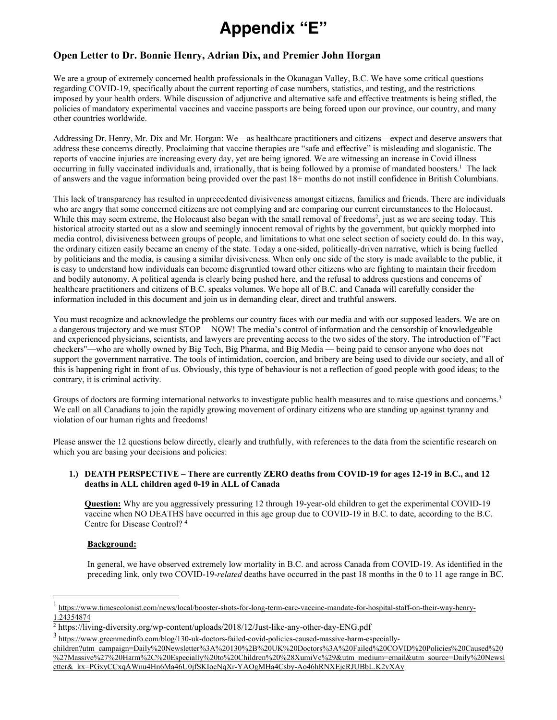# **Appendix "E"**

## **Open Letter to Dr. Bonnie Henry, Adrian Dix, and Premier John Horgan**

We are a group of extremely concerned health professionals in the Okanagan Valley, B.C. We have some critical questions regarding COVID-19, specifically about the current reporting of case numbers, statistics, and testing, and the restrictions imposed by your health orders. While discussion of adjunctive and alternative safe and effective treatments is being stifled, the policies of mandatory experimental vaccines and vaccine passports are being forced upon our province, our country, and many other countries worldwide.

Addressing Dr. Henry, Mr. Dix and Mr. Horgan: We—as healthcare practitioners and citizens—expect and deserve answers that address these concerns directly. Proclaiming that vaccine therapies are "safe and effective" is misleading and sloganistic. The reports of vaccine injuries are increasing every day, yet are being ignored. We are witnessing an increase in Covid illness occurring in fully vaccinated individuals and, irrationally, that is being followed by a promise of mandated boosters.1 The lack of answers and the vague information being provided over the past 18+ months do not instill confidence in British Columbians.

This lack of transparency has resulted in unprecedented divisiveness amongst citizens, families and friends. There are individuals who are angry that some concerned citizens are not complying and are comparing our current circumstances to the Holocaust. While this may seem extreme, the Holocaust also began with the small removal of freedoms<sup>2</sup>, just as we are seeing today. This historical atrocity started out as a slow and seemingly innocent removal of rights by the government, but quickly morphed into media control, divisiveness between groups of people, and limitations to what one select section of society could do. In this way, the ordinary citizen easily became an enemy of the state. Today a one-sided, politically-driven narrative, which is being fuelled by politicians and the media, is causing a similar divisiveness. When only one side of the story is made available to the public, it is easy to understand how individuals can become disgruntled toward other citizens who are fighting to maintain their freedom and bodily autonomy. A political agenda is clearly being pushed here, and the refusal to address questions and concerns of healthcare practitioners and citizens of B.C. speaks volumes. We hope all of B.C. and Canada will carefully consider the information included in this document and join us in demanding clear, direct and truthful answers.

You must recognize and acknowledge the problems our country faces with our media and with our supposed leaders. We are on a dangerous trajectory and we must STOP —NOW! The media's control of information and the censorship of knowledgeable and experienced physicians, scientists, and lawyers are preventing access to the two sides of the story. The introduction of "Fact checkers"—who are wholly owned by Big Tech, Big Pharma, and Big Media — being paid to censor anyone who does not support the government narrative. The tools of intimidation, coercion, and bribery are being used to divide our society, and all of this is happening right in front of us. Obviously, this type of behaviour is not a reflection of good people with good ideas; to the contrary, it is criminal activity.

Groups of doctors are forming international networks to investigate public health measures and to raise questions and concerns.<sup>3</sup> We call on all Canadians to join the rapidly growing movement of ordinary citizens who are standing up against tyranny and violation of our human rights and freedoms!

Please answer the 12 questions below directly, clearly and truthfully, with references to the data from the scientific research on which you are basing your decisions and policies:

#### **1.) DEATH PERSPECTIVE – There are currently ZERO deaths from COVID-19 for ages 12-19 in B.C., and 12 deaths in ALL children aged 0-19 in ALL of Canada**

**Question:** Why are you aggressively pressuring 12 through 19-year-old children to get the experimental COVID-19 vaccine when NO DEATHS have occurred in this age group due to COVID-19 in B.C. to date, according to the B.C. Centre for Disease Control? <sup>4</sup>

## **Background:**

In general, we have observed extremely low mortality in B.C. and across Canada from COVID-19. As identified in the preceding link, only two COVID-19-*related* deaths have occurred in the past 18 months in the 0 to 11 age range in BC.

<sup>1</sup> https://www.timescolonist.com/news/local/booster-shots-for-long-term-care-vaccine-mandate-for-hospital-staff-on-their-way-henry-1.24354874

<sup>2</sup> https://living-diversity.org/wp-content/uploads/2018/12/Just-like-any-other-day-ENG.pdf

<sup>3</sup> https://www.greenmedinfo.com/blog/130-uk-doctors-failed-covid-policies-caused-massive-harm-especially-

children?utm campaign=Daily%20Newsletter%3A%20130%2B%20UK%20Doctors%3A%20Failed%20COVID%20Policies%20Caused%20 %27Massive%27%20Harm%2C%20Especially%20to%20Children%20%28XumiVc%29&utm medium=email&utm source=Daily%20Newsl etter& kx=PGxyCCxqAWnu4Hn6Ma46U0jfSKIocNqXr-YAOgMHa4Csby-Ao46hRNXEjcRJUBbL.K2vXAy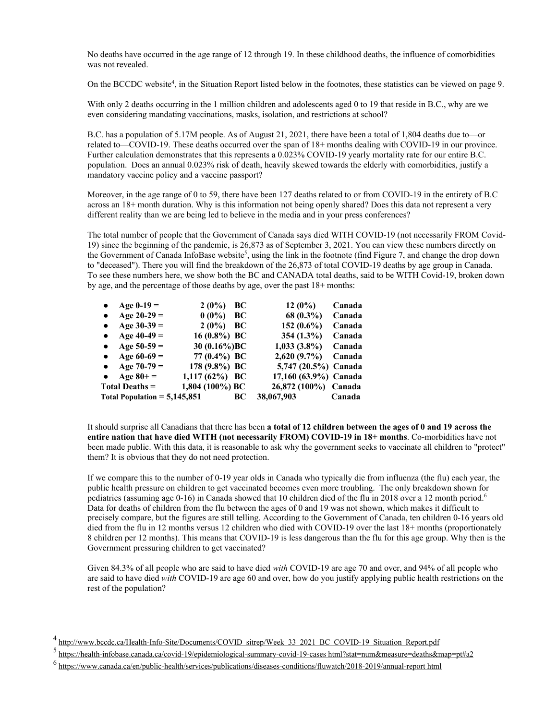No deaths have occurred in the age range of 12 through 19. In these childhood deaths, the influence of comorbidities was not revealed.

On the BCCDC website4 , in the Situation Report listed below in the footnotes, these statistics can be viewed on page 9.

With only 2 deaths occurring in the 1 million children and adolescents aged 0 to 19 that reside in B.C., why are we even considering mandating vaccinations, masks, isolation, and restrictions at school?

B.C. has a population of 5.17M people. As of August 21, 2021, there have been a total of 1,804 deaths due to—or related to—COVID-19. These deaths occurred over the span of 18+ months dealing with COVID-19 in our province. Further calculation demonstrates that this represents a 0.023% COVID-19 yearly mortality rate for our entire B.C. population. Does an annual 0.023% risk of death, heavily skewed towards the elderly with comorbidities, justify a mandatory vaccine policy and a vaccine passport?

Moreover, in the age range of 0 to 59, there have been 127 deaths related to or from COVID-19 in the entirety of B.C across an 18+ month duration. Why is this information not being openly shared? Does this data not represent a very different reality than we are being led to believe in the media and in your press conferences?

The total number of people that the Government of Canada says died WITH COVID-19 (not necessarily FROM Covid-19) since the beginning of the pandemic, is 26,873 as of September 3, 2021. You can view these numbers directly on the Government of Canada InfoBase website<sup>5</sup>, using the link in the footnote (find Figure 7, and change the drop down to "deceased"). There you will find the breakdown of the 26,873 of total COVID-19 deaths by age group in Canada. To see these numbers here, we show both the BC and CANADA total deaths, said to be WITH Covid-19, broken down by age, and the percentage of those deaths by age, over the past 18+ months:

| Age $0-19=$                    | $2(0\%)$<br>BC    | $12(0\%)$             | Canada |
|--------------------------------|-------------------|-----------------------|--------|
| Age $20-29=$<br>$\bullet$      | $0(0\%)$<br>BC    | 68 (0.3%)             | Canada |
| Age $30-39=$<br>$\bullet$      | $2(0\%)$<br>BC    | 152 $(0.6\%)$         | Canada |
| Age $40-49=$<br>$\bullet$      | 16 $(0.8\%)$ BC   | 354 (1.3%)            | Canada |
| Age $50-59=$<br>$\bullet$      | 30 (0.16%) BC     | $1,033(3.8\%)$        | Canada |
| Age $60-69=$<br>$\bullet$      | 77 (0.4%) BC      | 2,620(9.7%)           | Canada |
| Age $70-79=$<br>$\bullet$      | 178 (9.8%) BC     | 5,747 (20.5%) Canada  |        |
| Age $80+=$<br>$\bullet$        | 1,117 $(62\%)$ BC | 17,160 (63.9%) Canada |        |
| $Total \, Details =$           | 1,804 (100%) BC   | 26,872 (100%) Canada  |        |
| Total Population = $5,145,851$ | BС                | 38,067,903            | Canada |

It should surprise all Canadians that there has been **a total of 12 children between the ages of 0 and 19 across the entire nation that have died WITH (not necessarily FROM) COVID-19 in 18+ months**. Co-morbidities have not been made public. With this data, it is reasonable to ask why the government seeks to vaccinate all children to "protect" them? It is obvious that they do not need protection.

If we compare this to the number of 0-19 year olds in Canada who typically die from influenza (the flu) each year, the public health pressure on children to get vaccinated becomes even more troubling. The only breakdown shown for pediatrics (assuming age 0-16) in Canada showed that 10 children died of the flu in 2018 over a 12 month period. 6 Data for deaths of children from the flu between the ages of 0 and 19 was not shown, which makes it difficult to precisely compare, but the figures are still telling. According to the Government of Canada, ten children 0-16 years old died from the flu in 12 months versus 12 children who died with COVID-19 over the last 18+ months (proportionately 8 children per 12 months). This means that COVID-19 is less dangerous than the flu for this age group. Why then is the Government pressuring children to get vaccinated?

Given 84.3% of all people who are said to have died *with* COVID-19 are age 70 and over, and 94% of all people who are said to have died *with* COVID-19 are age 60 and over, how do you justify applying public health restrictions on the rest of the population?

http://www.bccdc.ca/Health-Info-Site/Documents/COVID sitrep/Week 33 2021 BC COVID-19 Situation Report.pdf

<sup>5&</sup>lt;br>https://health-infobase.canada.ca/covid-19/epidemiological-summary-covid-19-cases html?stat=num&measure=deaths&map=pt#a2

<sup>6</sup> https://www.canada.ca/en/public-health/services/publications/diseases-conditions/fluwatch/2018-2019/annual-report html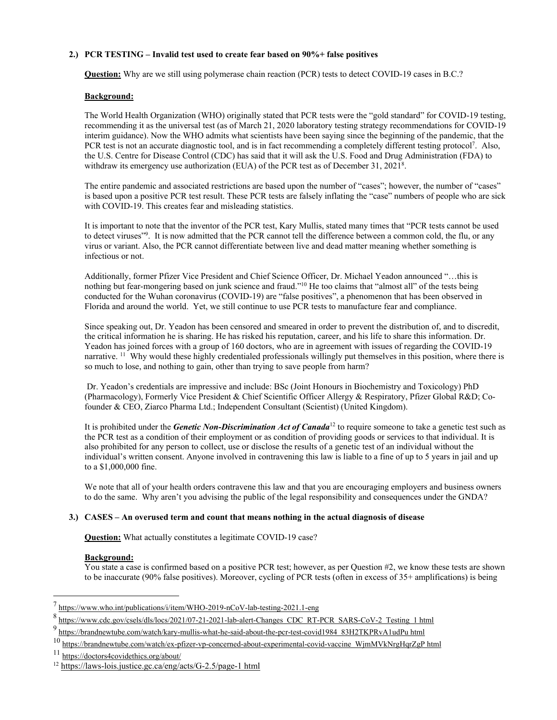## **2.) PCR TESTING – Invalid test used to create fear based on 90%+ false positives**

**Question:** Why are we still using polymerase chain reaction (PCR) tests to detect COVID-19 cases in B.C.?

#### **Background:**

The World Health Organization (WHO) originally stated that PCR tests were the "gold standard" for COVID-19 testing, recommending it as the universal test (as of March 21, 2020 laboratory testing strategy recommendations for COVID-19 interim guidance). Now the WHO admits what scientists have been saying since the beginning of the pandemic, that the PCR test is not an accurate diagnostic tool, and is in fact recommending a completely different testing protocol7 . Also, the U.S. Centre for Disease Control (CDC) has said that it will ask the U.S. Food and Drug Administration (FDA) to withdraw its emergency use authorization (EUA) of the PCR test as of December 31, 2021<sup>8</sup>.

The entire pandemic and associated restrictions are based upon the number of "cases"; however, the number of "cases" is based upon a positive PCR test result. These PCR tests are falsely inflating the "case" numbers of people who are sick with COVID-19. This creates fear and misleading statistics.

It is important to note that the inventor of the PCR test, Kary Mullis, stated many times that "PCR tests cannot be used to detect viruses"<sup>9</sup>. It is now admitted that the PCR cannot tell the difference between a common cold, the flu, or any virus or variant. Also, the PCR cannot differentiate between live and dead matter meaning whether something is infectious or not.

Additionally, former Pfizer Vice President and Chief Science Officer, Dr. Michael Yeadon announced "…this is nothing but fear-mongering based on junk science and fraud."<sup>10</sup> He too claims that "almost all" of the tests being conducted for the Wuhan coronavirus (COVID-19) are "false positives", a phenomenon that has been observed in Florida and around the world. Yet, we still continue to use PCR tests to manufacture fear and compliance.

Since speaking out, Dr. Yeadon has been censored and smeared in order to prevent the distribution of, and to discredit, the critical information he is sharing. He has risked his reputation, career, and his life to share this information. Dr. Yeadon has joined forces with a group of 160 doctors, who are in agreement with issues of regarding the COVID-19 narrative. <sup>11</sup> Why would these highly credentialed professionals willingly put themselves in this position, where there is so much to lose, and nothing to gain, other than trying to save people from harm?

Dr. Yeadon's credentials are impressive and include: BSc (Joint Honours in Biochemistry and Toxicology) PhD (Pharmacology), Formerly Vice President & Chief Scientific Officer Allergy & Respiratory, Pfizer Global R&D; Cofounder & CEO, Ziarco Pharma Ltd.; Independent Consultant (Scientist) (United Kingdom).

It is prohibited under the *Genetic Non-Discrimination Act of Canada*<sup>12</sup> to require someone to take a genetic test such as the PCR test as a condition of their employment or as condition of providing goods or services to that individual. It is also prohibited for any person to collect, use or disclose the results of a genetic test of an individual without the individual's written consent. Anyone involved in contravening this law is liable to a fine of up to 5 years in jail and up to a \$1,000,000 fine.

We note that all of your health orders contravene this law and that you are encouraging employers and business owners to do the same. Why aren't you advising the public of the legal responsibility and consequences under the GNDA?

## **3.) CASES – An overused term and count that means nothing in the actual diagnosis of disease**

**Question:** What actually constitutes a legitimate COVID-19 case?

#### **Background:**

You state a case is confirmed based on a positive PCR test; however, as per Question #2, we know these tests are shown to be inaccurate (90% false positives). Moreover, cycling of PCR tests (often in excess of 35+ amplifications) is being

<sup>7</sup> https://www.who.int/publications/i/item/WHO-2019-nCoV-lab-testing-2021.1-eng

<sup>8</sup> https://www.cdc.gov/csels/dls/locs/2021/07-21-2021-lab-alert-Changes CDC RT-PCR SARS-CoV-2 Testing 1 html

<sup>9</sup> https://brandnewtube.com/watch/kary-mullis-what-he-said-about-the-pcr-test-covid1984 83H2TKPRvA1udPu html

<sup>10</sup> https://brandnewtube.com/watch/ex-pfizer-vp-concerned-about-experimental-covid-vaccine WjmMVkNrgHqrZgP html

<sup>11</sup> https://doctors4covidethics.org/about/

<sup>12</sup> https://laws-lois.justice.gc.ca/eng/acts/G-2.5/page-1 html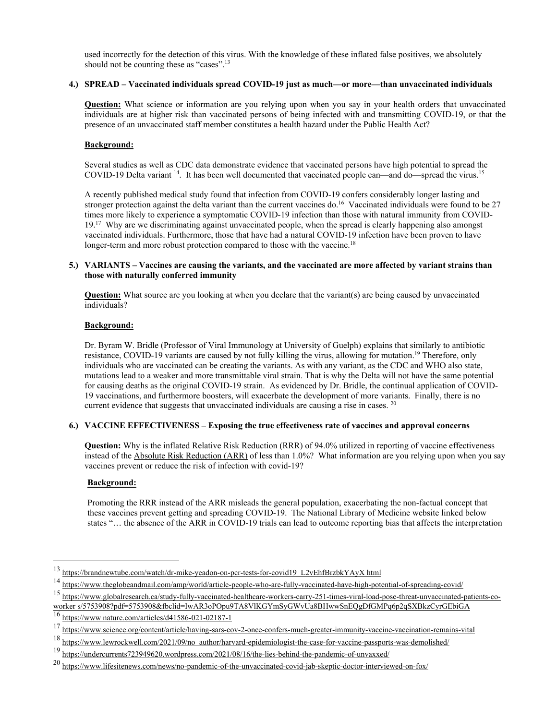used incorrectly for the detection of this virus. With the knowledge of these inflated false positives, we absolutely should not be counting these as "cases".<sup>13</sup>

### **4.) SPREAD – Vaccinated individuals spread COVID-19 just as much—or more—than unvaccinated individuals**

**Question:** What science or information are you relying upon when you say in your health orders that unvaccinated individuals are at higher risk than vaccinated persons of being infected with and transmitting COVID-19, or that the presence of an unvaccinated staff member constitutes a health hazard under the Public Health Act?

## **Background:**

Several studies as well as CDC data demonstrate evidence that vaccinated persons have high potential to spread the COVID-19 Delta variant <sup>14</sup>. It has been well documented that vaccinated people can—and do—spread the virus.<sup>15</sup>

A recently published medical study found that infection from COVID-19 confers considerably longer lasting and stronger protection against the delta variant than the current vaccines do.<sup>16</sup> Vaccinated individuals were found to be 27 times more likely to experience a symptomatic COVID-19 infection than those with natural immunity from COVID-19.<sup>17</sup> Why are we discriminating against unvaccinated people, when the spread is clearly happening also amongst vaccinated individuals. Furthermore, those that have had a natural COVID-19 infection have been proven to have longer-term and more robust protection compared to those with the vaccine.<sup>18</sup>

### **5.) VARIANTS – Vaccines are causing the variants, and the vaccinated are more affected by variant strains than those with naturally conferred immunity**

**Question:** What source are you looking at when you declare that the variant(s) are being caused by unvaccinated individuals?

#### **Background:**

Dr. Byram W. Bridle (Professor of Viral Immunology at University of Guelph) explains that similarly to antibiotic resistance, COVID-19 variants are caused by not fully killing the virus, allowing for mutation.19 Therefore, only individuals who are vaccinated can be creating the variants. As with any variant, as the CDC and WHO also state, mutations lead to a weaker and more transmittable viral strain. That is why the Delta will not have the same potential for causing deaths as the original COVID-19 strain. As evidenced by Dr. Bridle, the continual application of COVID-19 vaccinations, and furthermore boosters, will exacerbate the development of more variants. Finally, there is no current evidence that suggests that unvaccinated individuals are causing a rise in cases. <sup>20</sup>

## **6.) VACCINE EFFECTIVENESS – Exposing the true effectiveness rate of vaccines and approval concerns**

**Question:** Why is the inflated Relative Risk Reduction (RRR) of 94.0% utilized in reporting of vaccine effectiveness instead of the Absolute Risk Reduction (ARR) of less than 1.0%? What information are you relying upon when you say vaccines prevent or reduce the risk of infection with covid-19?

## **Background:**

Promoting the RRR instead of the ARR misleads the general population, exacerbating the non-factual concept that these vaccines prevent getting and spreading COVID-19. The National Library of Medicine website linked below states "… the absence of the ARR in COVID-19 trials can lead to outcome reporting bias that affects the interpretation

<sup>13</sup> https://brandnewtube.com/watch/dr-mike-yeadon-on-pcr-tests-for-covid19 L2vEhfBrzbkYAyX html

<sup>14</sup> https://www.theglobeandmail.com/amp/world/article-people-who-are-fully-vaccinated-have-high-potential-of-spreading-covid/

<sup>15</sup> https://www.globalresearch.ca/study-fully-vaccinated-healthcare-workers-carry-251-times-viral-load-pose-threat-unvaccinated-patients-coworker s/5753908?pdf=5753908&fbclid=IwAR3oPOpu9TA8VlKGYmSyGWvUa8BHwwSnEQgDfGMPq6p2qSXBkzCyrGEbiGA

 $16$  https://www.nature.com/articles/d41586-021-02187-1

<sup>&</sup>lt;sup>17</sup> https://www.science.org/content/article/having-sars-cov-2-once-confers-much-greater-immunity-vaccine-vaccination-remains-vital

<sup>18</sup> https://www.lewrockwell.com/2021/09/no author/harvard-epidemiologist-the-case-for-vaccine-passports-was-demolished/

<sup>19</sup> https://undercurrents723949620.wordpress.com/2021/08/16/the-lies-behind-the-pandemic-of-unvaxxed/

<sup>20</sup> https://www.lifesitenews.com/news/no-pandemic-of-the-unvaccinated-covid-jab-skeptic-doctor-interviewed-on-fox/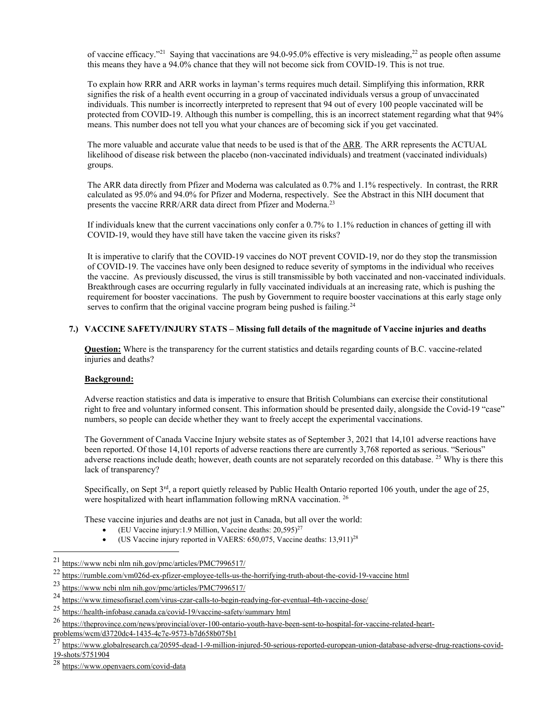of vaccine efficacy."21 Saying that vaccinations are 94.0-95.0% effective is very misleading,22 as people often assume this means they have a 94.0% chance that they will not become sick from COVID-19. This is not true.

To explain how RRR and ARR works in layman's terms requires much detail. Simplifying this information, RRR signifies the risk of a health event occurring in a group of vaccinated individuals versus a group of unvaccinated individuals. This number is incorrectly interpreted to represent that 94 out of every 100 people vaccinated will be protected from COVID-19. Although this number is compelling, this is an incorrect statement regarding what that 94% means. This number does not tell you what your chances are of becoming sick if you get vaccinated.

The more valuable and accurate value that needs to be used is that of the ARR. The ARR represents the ACTUAL likelihood of disease risk between the placebo (non-vaccinated individuals) and treatment (vaccinated individuals) groups.

The ARR data directly from Pfizer and Moderna was calculated as 0.7% and 1.1% respectively. In contrast, the RRR calculated as 95.0% and 94.0% for Pfizer and Moderna, respectively. See the Abstract in this NIH document that presents the vaccine RRR/ARR data direct from Pfizer and Moderna.<sup>23</sup>

If individuals knew that the current vaccinations only confer a 0.7% to 1.1% reduction in chances of getting ill with COVID-19, would they have still have taken the vaccine given its risks?

It is imperative to clarify that the COVID-19 vaccines do NOT prevent COVID-19, nor do they stop the transmission of COVID-19. The vaccines have only been designed to reduce severity of symptoms in the individual who receives the vaccine. As previously discussed, the virus is still transmissible by both vaccinated and non-vaccinated individuals. Breakthrough cases are occurring regularly in fully vaccinated individuals at an increasing rate, which is pushing the requirement for booster vaccinations. The push by Government to require booster vaccinations at this early stage only serves to confirm that the original vaccine program being pushed is failing.<sup>24</sup>

#### **7.) VACCINE SAFETY/INJURY STATS – Missing full details of the magnitude of Vaccine injuries and deaths**

**Question:** Where is the transparency for the current statistics and details regarding counts of B.C. vaccine-related injuries and deaths?

#### **Background:**

Adverse reaction statistics and data is imperative to ensure that British Columbians can exercise their constitutional right to free and voluntary informed consent. This information should be presented daily, alongside the Covid-19 "case" numbers, so people can decide whether they want to freely accept the experimental vaccinations.

The Government of Canada Vaccine Injury website states as of September 3, 2021 that 14,101 adverse reactions have been reported. Of those 14,101 reports of adverse reactions there are currently 3,768 reported as serious. "Serious" adverse reactions include death; however, death counts are not separately recorded on this database. 25 Why is there this lack of transparency?

Specifically, on Sept  $3^{rd}$ , a report quietly released by Public Health Ontario reported 106 youth, under the age of 25, were hospitalized with heart inflammation following mRNA vaccination. 26

These vaccine injuries and deaths are not just in Canada, but all over the world:

- (EU Vaccine injury:1.9 Million, Vaccine deaths: 20,595)27
- (US Vaccine injury reported in VAERS: 650,075, Vaccine deaths: 13,911)<sup>28</sup>

<sup>21</sup> https://www ncbi nlm nih.gov/pmc/articles/PMC7996517/

<sup>22</sup> https://rumble.com/vm026d-ex-pfizer-employee-tells-us-the-horrifying-truth-about-the-covid-19-vaccine html

<sup>23</sup> https://www ncbi nlm nih.gov/pmc/articles/PMC7996517/

<sup>24</sup> https://www.timesofisrael.com/virus-czar-calls-to-begin-readying-for-eventual-4th-vaccine-dose/

<sup>25</sup> https://health-infobase.canada.ca/covid-19/vaccine-safety/summary html

<sup>26</sup> https://theprovince.com/news/provincial/over-100-ontario-youth-have-been-sent-to-hospital-for-vaccine-related-heartproblems/wcm/d3720dc4-1435-4c7e-9573-b7d658b075b1

<sup>27</sup> https://www.globalresearch.ca/20595-dead-1-9-million-injured-50-serious-reported-european-union-database-adverse-drug-reactions-covid-19-shots/5751904

<sup>28</sup> https://www.openvaers.com/covid-data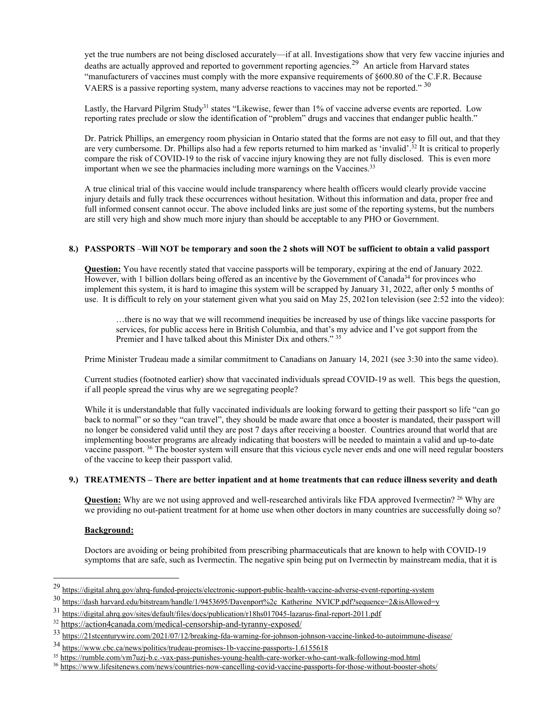yet the true numbers are not being disclosed accurately—if at all. Investigations show that very few vaccine injuries and deaths are actually approved and reported to government reporting agencies.<sup>29</sup> An article from Harvard states "manufacturers of vaccines must comply with the more expansive requirements of §600.80 of the C.F.R. Because VAERS is a passive reporting system, many adverse reactions to vaccines may not be reported." <sup>30</sup>

Lastly, the Harvard Pilgrim Study<sup>31</sup> states "Likewise, fewer than 1% of vaccine adverse events are reported. Low reporting rates preclude or slow the identification of "problem" drugs and vaccines that endanger public health."

Dr. Patrick Phillips, an emergency room physician in Ontario stated that the forms are not easy to fill out, and that they are very cumbersome. Dr. Phillips also had a few reports returned to him marked as 'invalid'.<sup>32</sup> It is critical to properly compare the risk of COVID-19 to the risk of vaccine injury knowing they are not fully disclosed. This is even more important when we see the pharmacies including more warnings on the Vaccines.<sup>33</sup>

A true clinical trial of this vaccine would include transparency where health officers would clearly provide vaccine injury details and fully track these occurrences without hesitation. Without this information and data, proper free and full informed consent cannot occur. The above included links are just some of the reporting systems, but the numbers are still very high and show much more injury than should be acceptable to any PHO or Government.

#### **8.) PASSPORTS** –**Will NOT be temporary and soon the 2 shots will NOT be sufficient to obtain a valid passport**

**Question:** You have recently stated that vaccine passports will be temporary, expiring at the end of January 2022. However, with 1 billion dollars being offered as an incentive by the Government of Canada<sup>34</sup> for provinces who implement this system, it is hard to imagine this system will be scrapped by January 31, 2022, after only 5 months of use. It is difficult to rely on your statement given what you said on May 25, 2021on television (see 2:52 into the video):

…there is no way that we will recommend inequities be increased by use of things like vaccine passports for services, for public access here in British Columbia, and that's my advice and I've got support from the Premier and I have talked about this Minister Dix and others." <sup>35</sup>

Prime Minister Trudeau made a similar commitment to Canadians on January 14, 2021 (see 3:30 into the same video).

Current studies (footnoted earlier) show that vaccinated individuals spread COVID-19 as well. This begs the question, if all people spread the virus why are we segregating people?

While it is understandable that fully vaccinated individuals are looking forward to getting their passport so life "can go back to normal" or so they "can travel", they should be made aware that once a booster is mandated, their passport will no longer be considered valid until they are post 7 days after receiving a booster. Countries around that world that are implementing booster programs are already indicating that boosters will be needed to maintain a valid and up-to-date vaccine passport. 36 The booster system will ensure that this vicious cycle never ends and one will need regular boosters of the vaccine to keep their passport valid.

#### **9.) TREATMENTS – There are better inpatient and at home treatments that can reduce illness severity and death**

**Question:** Why are we not using approved and well-researched antivirals like FDA approved Ivermectin? <sup>26</sup> Why are we providing no out-patient treatment for at home use when other doctors in many countries are successfully doing so?

#### **Background:**

Doctors are avoiding or being prohibited from prescribing pharmaceuticals that are known to help with COVID-19 symptoms that are safe, such as Ivermectin. The negative spin being put on Ivermectin by mainstream media, that it is

<sup>29</sup> https://digital.ahrq.gov/ahrq-funded-projects/electronic-support-public-health-vaccine-adverse-event-reporting-system

<sup>30</sup> https://dash harvard.edu/bitstream/handle/1/9453695/Davenport%2c Katherine NVICP.pdf?sequence=2&isAllowed=y

<sup>31</sup> https://digital.ahrq.gov/sites/default/files/docs/publication/r18hs017045-lazarus-final-report-2011.pdf

<sup>32</sup> https://action4canada.com/medical-censorship-and-tyranny-exposed/

<sup>33</sup> https://21stcenturywire.com/2021/07/12/breaking-fda-warning-for-johnson-johnson-vaccine-linked-to-autoimmune-disease/

<sup>34</sup> https://www.cbc.ca/news/politics/trudeau-promises-1b-vaccine-passports-1.6155618

<sup>35</sup> https://rumble.com/vm7uzj-b.c.-vax-pass-punishes-young-health-care-worker-who-cant-walk-following-mod.html

<sup>36</sup> https://www.lifesitenews.com/news/countries-now-cancelling-covid-vaccine-passports-for-those-without-booster-shots/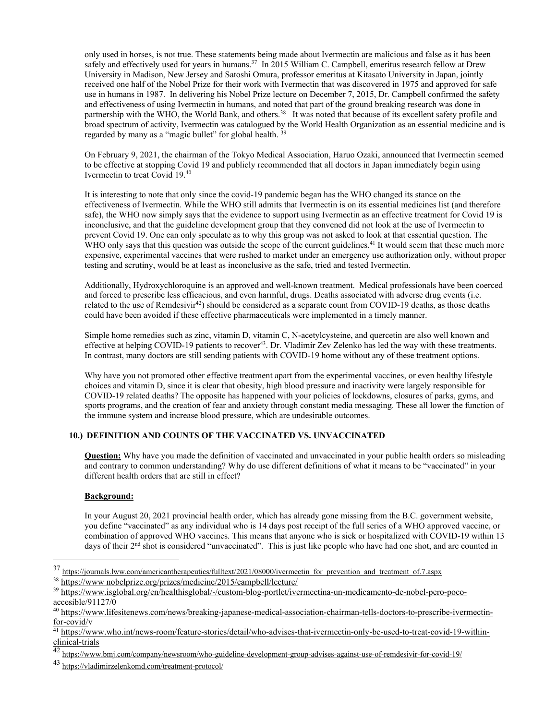only used in horses, is not true. These statements being made about Ivermectin are malicious and false as it has been safely and effectively used for years in humans.<sup>37</sup> In 2015 William C. Campbell, emeritus research fellow at Drew University in Madison, New Jersey and Satoshi Omura, professor emeritus at Kitasato University in Japan, jointly received one half of the Nobel Prize for their work with Ivermectin that was discovered in 1975 and approved for safe use in humans in 1987. In delivering his Nobel Prize lecture on December 7, 2015, Dr. Campbell confirmed the safety and effectiveness of using Ivermectin in humans, and noted that part of the ground breaking research was done in partnership with the WHO, the World Bank, and others.<sup>38</sup> It was noted that because of its excellent safety profile and broad spectrum of activity, Ivermectin was catalogued by the World Health Organization as an essential medicine and is regarded by many as a "magic bullet" for global health.<sup>3</sup>

On February 9, 2021, the chairman of the Tokyo Medical Association, Haruo Ozaki, announced that Ivermectin seemed to be effective at stopping Covid 19 and publicly recommended that all doctors in Japan immediately begin using Ivermectin to treat Covid 19.40

It is interesting to note that only since the covid-19 pandemic began has the WHO changed its stance on the effectiveness of Ivermectin. While the WHO still admits that Ivermectin is on its essential medicines list (and therefore safe), the WHO now simply says that the evidence to support using Ivermectin as an effective treatment for Covid 19 is inconclusive, and that the guideline development group that they convened did not look at the use of Ivermectin to prevent Covid 19. One can only speculate as to why this group was not asked to look at that essential question. The WHO only says that this question was outside the scope of the current guidelines.<sup>41</sup> It would seem that these much more expensive, experimental vaccines that were rushed to market under an emergency use authorization only, without proper testing and scrutiny, would be at least as inconclusive as the safe, tried and tested Ivermectin.

Additionally, Hydroxychloroquine is an approved and well-known treatment. Medical professionals have been coerced and forced to prescribe less efficacious, and even harmful, drugs. Deaths associated with adverse drug events (i.e. related to the use of Remdesivir<sup>42</sup>) should be considered as a separate count from COVID-19 deaths, as those deaths could have been avoided if these effective pharmaceuticals were implemented in a timely manner.

Simple home remedies such as zinc, vitamin D, vitamin C, N-acetylcysteine, and quercetin are also well known and effective at helping COVID-19 patients to recover<sup>43</sup>. Dr. Vladimir Zev Zelenko has led the way with these treatments. In contrast, many doctors are still sending patients with COVID-19 home without any of these treatment options.

Why have you not promoted other effective treatment apart from the experimental vaccines, or even healthy lifestyle choices and vitamin D, since it is clear that obesity, high blood pressure and inactivity were largely responsible for COVID-19 related deaths? The opposite has happened with your policies of lockdowns, closures of parks, gyms, and sports programs, and the creation of fear and anxiety through constant media messaging. These all lower the function of the immune system and increase blood pressure, which are undesirable outcomes.

## **10.) DEFINITION AND COUNTS OF THE VACCINATED VS. UNVACCINATED**

**Question:** Why have you made the definition of vaccinated and unvaccinated in your public health orders so misleading and contrary to common understanding? Why do use different definitions of what it means to be "vaccinated" in your different health orders that are still in effect?

## **Background:**

In your August 20, 2021 provincial health order, which has already gone missing from the B.C. government website, you define "vaccinated" as any individual who is 14 days post receipt of the full series of a WHO approved vaccine, or combination of approved WHO vaccines. This means that anyone who is sick or hospitalized with COVID-19 within 13 days of their 2<sup>nd</sup> shot is considered "unvaccinated". This is just like people who have had one shot, and are counted in

<sup>37</sup> https://journals.lww.com/americantherapeutics/fulltext/2021/08000/ivermectin for prevention and treatment of.7.aspx

<sup>38</sup> https://www nobelprize.org/prizes/medicine/2015/campbell/lecture/

<sup>39</sup> https://www.isglobal.org/en/healthisglobal/-/custom-blog-portlet/ivermectina-un-medicamento-de-nobel-pero-poco $accessible/91127/0$ 

<sup>&</sup>lt;sup>40</sup> https://www.lifesitenews.com/news/breaking-japanese-medical-association-chairman-tells-doctors-to-prescribe-ivermectinfor-covid/v

<sup>41</sup> https://www.who.int/news-room/feature-stories/detail/who-advises-that-ivermectin-only-be-used-to-treat-covid-19-withinclinical-trials

<sup>42</sup> https://www.bmj.com/company/newsroom/who-guideline-development-group-advises-against-use-of-remdesivir-for-covid-19/

<sup>43</sup> https://vladimirzelenkomd.com/treatment-protocol/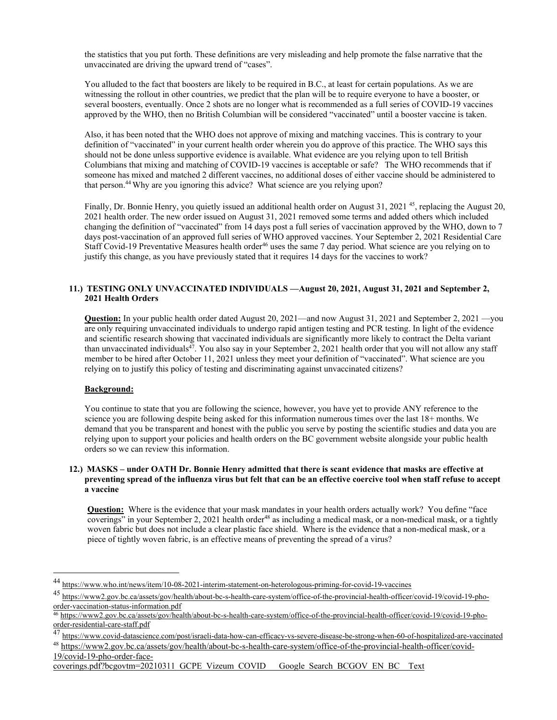the statistics that you put forth. These definitions are very misleading and help promote the false narrative that the unvaccinated are driving the upward trend of "cases".

You alluded to the fact that boosters are likely to be required in B.C., at least for certain populations. As we are witnessing the rollout in other countries, we predict that the plan will be to require everyone to have a booster, or several boosters, eventually. Once 2 shots are no longer what is recommended as a full series of COVID-19 vaccines approved by the WHO, then no British Columbian will be considered "vaccinated" until a booster vaccine is taken.

Also, it has been noted that the WHO does not approve of mixing and matching vaccines. This is contrary to your definition of "vaccinated" in your current health order wherein you do approve of this practice. The WHO says this should not be done unless supportive evidence is available. What evidence are you relying upon to tell British Columbians that mixing and matching of COVID-19 vaccines is acceptable or safe? The WHO recommends that if someone has mixed and matched 2 different vaccines, no additional doses of either vaccine should be administered to that person.44 Why are you ignoring this advice? What science are you relying upon?

Finally, Dr. Bonnie Henry, you quietly issued an additional health order on August 31, 2021<sup>45</sup>, replacing the August 20, 2021 health order. The new order issued on August 31, 2021 removed some terms and added others which included changing the definition of "vaccinated" from 14 days post a full series of vaccination approved by the WHO, down to 7 days post-vaccination of an approved full series of WHO approved vaccines. Your September 2, 2021 Residential Care Staff Covid-19 Preventative Measures health order<sup>46</sup> uses the same 7 day period. What science are you relying on to justify this change, as you have previously stated that it requires 14 days for the vaccines to work?

#### **11.) TESTING ONLY UNVACCINATED INDIVIDUALS —August 20, 2021, August 31, 2021 and September 2, 2021 Health Orders**

**Question:** In your public health order dated August 20, 2021—and now August 31, 2021 and September 2, 2021 —you are only requiring unvaccinated individuals to undergo rapid antigen testing and PCR testing. In light of the evidence and scientific research showing that vaccinated individuals are significantly more likely to contract the Delta variant than unvaccinated individuals<sup>47</sup>. You also say in your September 2, 2021 health order that you will not allow any staff member to be hired after October 11, 2021 unless they meet your definition of "vaccinated". What science are you relying on to justify this policy of testing and discriminating against unvaccinated citizens?

#### **Background:**

You continue to state that you are following the science, however, you have yet to provide ANY reference to the science you are following despite being asked for this information numerous times over the last 18+ months. We demand that you be transparent and honest with the public you serve by posting the scientific studies and data you are relying upon to support your policies and health orders on the BC government website alongside your public health orders so we can review this information.

#### **12.) MASKS – under OATH Dr. Bonnie Henry admitted that there is scant evidence that masks are effective at preventing spread of the influenza virus but felt that can be an effective coercive tool when staff refuse to accept a vaccine**

**Question:** Where is the evidence that your mask mandates in your health orders actually work? You define "face coverings" in your September 2, 2021 health order<sup>48</sup> as including a medical mask, or a non-medical mask, or a tightly woven fabric but does not include a clear plastic face shield. Where is the evidence that a non-medical mask, or a piece of tightly woven fabric, is an effective means of preventing the spread of a virus?

<sup>44</sup> https://www.who.int/news/item/10-08-2021-interim-statement-on-heterologous-priming-for-covid-19-vaccines

<sup>45</sup> https://www2.gov.bc.ca/assets/gov/health/about-bc-s-health-care-system/office-of-the-provincial-health-officer/covid-19/covid-19-phoorder-vaccination-status-information.pdf

<sup>46</sup> https://www2.gov.bc.ca/assets/gov/health/about-bc-s-health-care-system/office-of-the-provincial-health-officer/covid-19/covid-19-phoorder-residential-care-staff.pdf

<sup>47</sup> https://www.covid-datascience.com/post/israeli-data-how-can-efficacy-vs-severe-disease-be-strong-when-60-of-hospitalized-are-vaccinated

<sup>48</sup> https://www2.gov.bc.ca/assets/gov/health/about-bc-s-health-care-system/office-of-the-provincial-health-officer/covid-19/covid-19-pho-order-face-

coverings.pdf?bcgovtm=20210311 GCPE Vizeum COVID Google Search BCGOV EN BC Text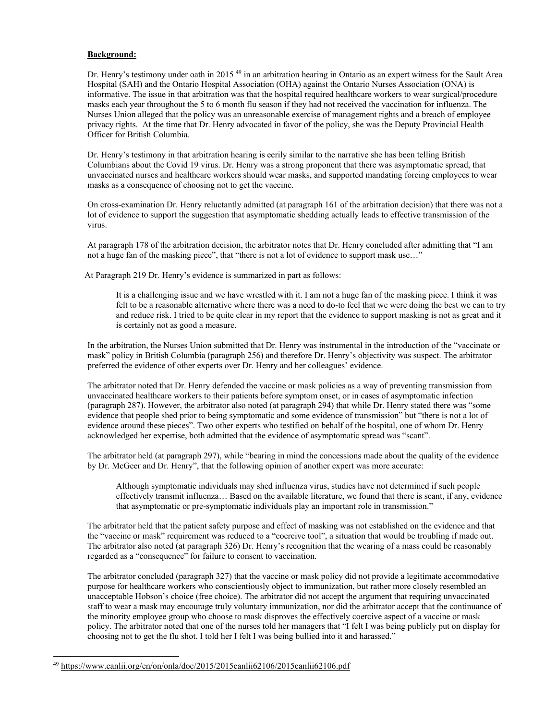#### **Background:**

Dr. Henry's testimony under oath in 2015<sup>49</sup> in an arbitration hearing in Ontario as an expert witness for the Sault Area Hospital (SAH) and the Ontario Hospital Association (OHA) against the Ontario Nurses Association (ONA) is informative. The issue in that arbitration was that the hospital required healthcare workers to wear surgical/procedure masks each year throughout the 5 to 6 month flu season if they had not received the vaccination for influenza. The Nurses Union alleged that the policy was an unreasonable exercise of management rights and a breach of employee privacy rights. At the time that Dr. Henry advocated in favor of the policy, she was the Deputy Provincial Health Officer for British Columbia.

Dr. Henry's testimony in that arbitration hearing is eerily similar to the narrative she has been telling British Columbians about the Covid 19 virus. Dr. Henry was a strong proponent that there was asymptomatic spread, that unvaccinated nurses and healthcare workers should wear masks, and supported mandating forcing employees to wear masks as a consequence of choosing not to get the vaccine.

On cross-examination Dr. Henry reluctantly admitted (at paragraph 161 of the arbitration decision) that there was not a lot of evidence to support the suggestion that asymptomatic shedding actually leads to effective transmission of the virus.

At paragraph 178 of the arbitration decision, the arbitrator notes that Dr. Henry concluded after admitting that "I am not a huge fan of the masking piece", that "there is not a lot of evidence to support mask use…"

At Paragraph 219 Dr. Henry's evidence is summarized in part as follows:

It is a challenging issue and we have wrestled with it. I am not a huge fan of the masking piece. I think it was felt to be a reasonable alternative where there was a need to do-to feel that we were doing the best we can to try and reduce risk. I tried to be quite clear in my report that the evidence to support masking is not as great and it is certainly not as good a measure.

In the arbitration, the Nurses Union submitted that Dr. Henry was instrumental in the introduction of the "vaccinate or mask" policy in British Columbia (paragraph 256) and therefore Dr. Henry's objectivity was suspect. The arbitrator preferred the evidence of other experts over Dr. Henry and her colleagues' evidence.

The arbitrator noted that Dr. Henry defended the vaccine or mask policies as a way of preventing transmission from unvaccinated healthcare workers to their patients before symptom onset, or in cases of asymptomatic infection (paragraph 287). However, the arbitrator also noted (at paragraph 294) that while Dr. Henry stated there was "some evidence that people shed prior to being symptomatic and some evidence of transmission" but "there is not a lot of evidence around these pieces". Two other experts who testified on behalf of the hospital, one of whom Dr. Henry acknowledged her expertise, both admitted that the evidence of asymptomatic spread was "scant".

The arbitrator held (at paragraph 297), while "bearing in mind the concessions made about the quality of the evidence by Dr. McGeer and Dr. Henry", that the following opinion of another expert was more accurate:

Although symptomatic individuals may shed influenza virus, studies have not determined if such people effectively transmit influenza… Based on the available literature, we found that there is scant, if any, evidence that asymptomatic or pre-symptomatic individuals play an important role in transmission."

The arbitrator held that the patient safety purpose and effect of masking was not established on the evidence and that the "vaccine or mask" requirement was reduced to a "coercive tool", a situation that would be troubling if made out. The arbitrator also noted (at paragraph 326) Dr. Henry's recognition that the wearing of a mass could be reasonably regarded as a "consequence" for failure to consent to vaccination.

The arbitrator concluded (paragraph 327) that the vaccine or mask policy did not provide a legitimate accommodative purpose for healthcare workers who conscientiously object to immunization, but rather more closely resembled an unacceptable Hobson's choice (free choice). The arbitrator did not accept the argument that requiring unvaccinated staff to wear a mask may encourage truly voluntary immunization, nor did the arbitrator accept that the continuance of the minority employee group who choose to mask disproves the effectively coercive aspect of a vaccine or mask policy. The arbitrator noted that one of the nurses told her managers that "I felt I was being publicly put on display for choosing not to get the flu shot. I told her I felt I was being bullied into it and harassed."

<sup>49</sup> https://www.canlii.org/en/on/onla/doc/2015/2015canlii62106/2015canlii62106.pdf